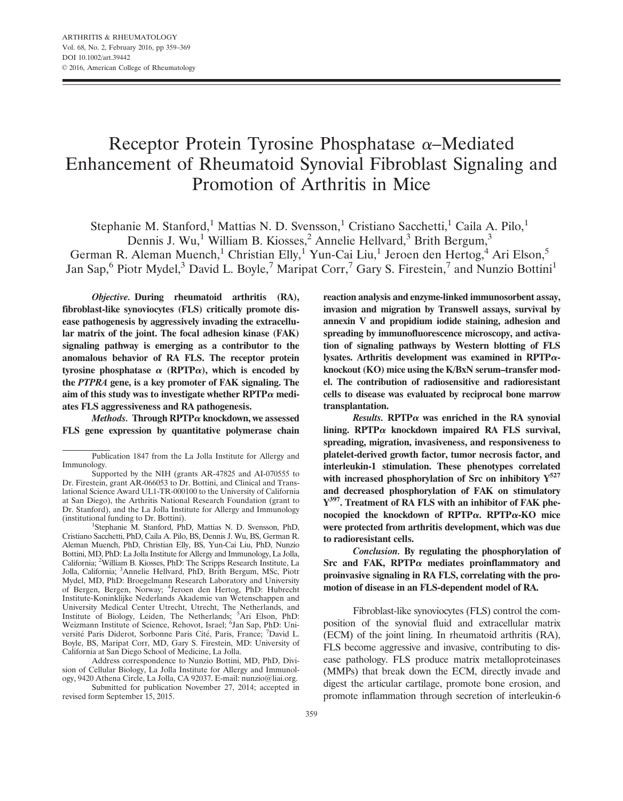# Receptor Protein Tyrosine Phosphatase  $\alpha$ –Mediated Enhancement of Rheumatoid Synovial Fibroblast Signaling and Promotion of Arthritis in Mice

Stephanie M. Stanford,<sup>1</sup> Mattias N. D. Svensson,<sup>1</sup> Cristiano Sacchetti,<sup>1</sup> Caila A. Pilo,<sup>1</sup>

Dennis J. Wu,<sup>1</sup> William B. Kiosses,<sup>2</sup> Annelie Hellvard,<sup>3</sup> Brith Bergum,<sup>3</sup>

German R. Aleman Muench,<sup>1</sup> Christian Elly,<sup>1</sup> Yun-Cai Liu,<sup>1</sup> Jeroen den Hertog,<sup>4</sup> Ari Elson,<sup>5</sup> Jan Sap,<sup>6</sup> Piotr Mydel,<sup>3</sup> David L. Boyle,<sup>7</sup> Maripat Corr,<sup>7</sup> Gary S. Firestein,<sup>7</sup> and Nunzio Bottini<sup>1</sup>

Objective. During rheumatoid arthritis (RA), fibroblast-like synoviocytes (FLS) critically promote disease pathogenesis by aggressively invading the extracellular matrix of the joint. The focal adhesion kinase (FAK) signaling pathway is emerging as a contributor to the anomalous behavior of RA FLS. The receptor protein tyrosine phosphatase  $\alpha$  (RPTP $\alpha$ ), which is encoded by the PTPRA gene, is a key promoter of FAK signaling. The aim of this study was to investigate whether  $\text{RPTP}\alpha$  mediates FLS aggressiveness and RA pathogenesis.

Methods. Through  $\text{RPTP}\alpha$  knockdown, we assessed FLS gene expression by quantitative polymerase chain

Stephanie M. Stanford, PhD, Mattias N. D. Svensson, PhD, Cristiano Sacchetti, PhD, Caila A. Pilo, BS, Dennis J. Wu, BS, German R. Aleman Muench, PhD, Christian Elly, BS, Yun-Cai Liu, PhD, Nunzio Bottini, MD, PhD: La Jolla Institute for Allergy and Immunology, La Jolla, California; <sup>2</sup>William B. Kiosses, PhD: The Scripps Research Institute, La Jolla, California; <sup>3</sup> Annelie Hellvard, PhD, Brith Bergum, MSc, Piotr Mydel, MD, PhD: Broegelmann Research Laboratory and University of Bergen, Bergen, Norway; <sup>4</sup> Jeroen den Hertog, PhD: Hubrecht Institute-Koninklijke Nederlands Akademie van Wetenschappen and University Medical Center Utrecht, Utrecht, The Netherlands, and Institute of Biology, Leiden, The Netherlands; <sup>5</sup>Ari Elson, PhD: Weizmann Institute of Science, Rehovot, Israel; <sup>6</sup>Jan Sap, PhD: Université Paris Diderot, Sorbonne Paris Cité, Paris, France; 7David L. Boyle, BS, Maripat Corr, MD, Gary S. Firestein, MD: University of California at San Diego School of Medicine, La Jolla.

Address correspondence to Nunzio Bottini, MD, PhD, Division of Cellular Biology, La Jolla Institute for Allergy and Immunology, 9420 Athena Circle, La Jolla, CA 92037. E-mail: nunzio@liai.org.

Submitted for publication November 27, 2014; accepted in revised form September 15, 2015.

reaction analysis and enzyme-linked immunosorbent assay, invasion and migration by Transwell assays, survival by annexin V and propidium iodide staining, adhesion and spreading by immunofluorescence microscopy, and activation of signaling pathways by Western blotting of FLS lysates. Arthritis development was examined in  $\text{RPTP}\alpha$ knockout (KO) mice using the K/BxN serum–transfer model. The contribution of radiosensitive and radioresistant cells to disease was evaluated by reciprocal bone marrow transplantation.

Results. RPTP $\alpha$  was enriched in the RA synovial lining. RPTP $\alpha$  knockdown impaired RA FLS survival, spreading, migration, invasiveness, and responsiveness to platelet-derived growth factor, tumor necrosis factor, and interleukin-1 stimulation. These phenotypes correlated with increased phosphorylation of Src on inhibitory  $Y^{527}$ and decreased phosphorylation of FAK on stimulatory Y<sup>397</sup>. Treatment of RA FLS with an inhibitor of FAK phenocopied the knockdown of RPTP $\alpha$ . RPTP $\alpha$ -KO mice were protected from arthritis development, which was due to radioresistant cells.

Conclusion. By regulating the phosphorylation of Src and FAK,  $RPTP\alpha$  mediates proinflammatory and proinvasive signaling in RA FLS, correlating with the promotion of disease in an FLS-dependent model of RA.

Fibroblast-like synoviocytes (FLS) control the composition of the synovial fluid and extracellular matrix (ECM) of the joint lining. In rheumatoid arthritis (RA), FLS become aggressive and invasive, contributing to disease pathology. FLS produce matrix metalloproteinases (MMPs) that break down the ECM, directly invade and digest the articular cartilage, promote bone erosion, and promote inflammation through secretion of interleukin-6

Publication 1847 from the La Jolla Institute for Allergy and Immunology.

Supported by the NIH (grants AR-47825 and AI-070555 to Dr. Firestein, grant AR-066053 to Dr. Bottini, and Clinical and Translational Science Award UL1-TR-000100 to the University of California at San Diego), the Arthritis National Research Foundation (grant to Dr. Stanford), and the La Jolla Institute for Allergy and Immunology (institutional funding to Dr. Bottini). <sup>1</sup>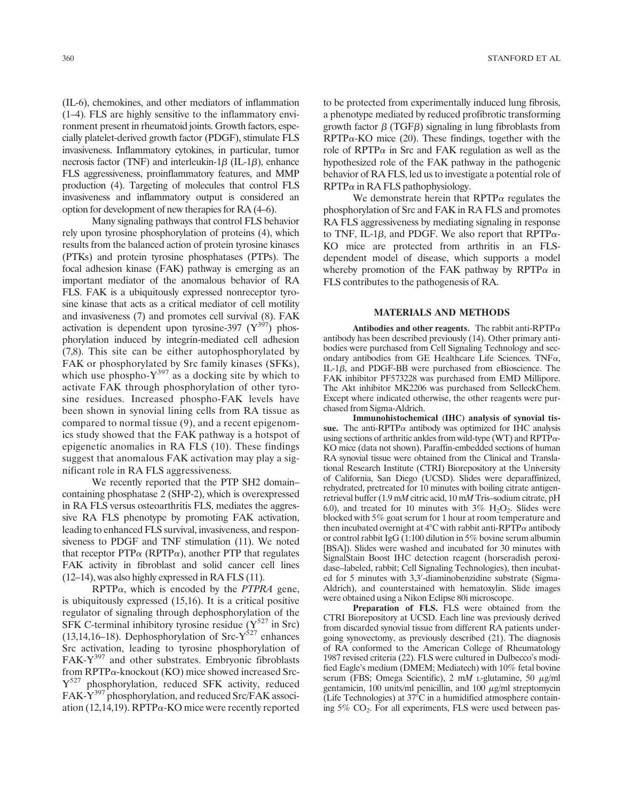(IL-6), chemokines, and other mediators of inflammation (1–4). FLS are highly sensitive to the inflammatory environment present in rheumatoid joints. Growth factors, especially platelet-derived growth factor (PDGF), stimulate FLS invasiveness. Inflammatory cytokines, in particular, tumor necrosis factor (TNF) and interleukin-1 $\beta$  (IL-1 $\beta$ ), enhance FLS aggressiveness, proinflammatory features, and MMP production (4). Targeting of molecules that control FLS invasiveness and inflammatory output is considered an option for development of new therapies for RA (4–6).

Many signaling pathways that control FLS behavior rely upon tyrosine phosphorylation of proteins (4), which results from the balanced action of protein tyrosine kinases (PTKs) and protein tyrosine phosphatases (PTPs). The focal adhesion kinase (FAK) pathway is emerging as an important mediator of the anomalous behavior of RA FLS. FAK is a ubiquitously expressed nonreceptor tyrosine kinase that acts as a critical mediator of cell motility and invasiveness (7) and promotes cell survival (8). FAK activation is dependent upon tyrosine-397  $(Y^{397})$  phosphorylation induced by integrin-mediated cell adhesion (7,8). This site can be either autophosphorylated by FAK or phosphorylated by Src family kinases (SFKs), which use phospho- $Y^{397}$  as a docking site by which to activate FAK through phosphorylation of other tyrosine residues. Increased phospho-FAK levels have been shown in synovial lining cells from RA tissue as compared to normal tissue (9), and a recent epigenomics study showed that the FAK pathway is a hotspot of epigenetic anomalies in RA FLS (10). These findings suggest that anomalous FAK activation may play a significant role in RA FLS aggressiveness.

We recently reported that the PTP SH2 domain– containing phosphatase 2 (SHP-2), which is overexpressed in RA FLS versus osteoarthritis FLS, mediates the aggressive RA FLS phenotype by promoting FAK activation, leading to enhanced FLS survival, invasiveness, and responsiveness to PDGF and TNF stimulation (11). We noted that receptor  $PTP\alpha$  (RPTP $\alpha$ ), another PTP that regulates FAK activity in fibroblast and solid cancer cell lines (12–14), was also highly expressed in RA FLS (11).

 $RPTP\alpha$ , which is encoded by the *PTPRA* gene, is ubiquitously expressed (15,16). It is a critical positive regulator of signaling through dephosphorylation of the SFK C-terminal inhibitory tyrosine residue  $(Y^{527})$  in Src) (13,14,16–18). Dephosphorylation of Src- $Y^{527}$  enhances Src activation, leading to tyrosine phosphorylation of  $FAK-Y<sup>397</sup>$  and other substrates. Embryonic fibroblasts from  $RPTP\alpha$ -knockout (KO) mice showed increased Src-Y<sup>527</sup> phosphorylation, reduced SFK activity, reduced FAK-Y<sup>397</sup> phosphorylation, and reduced Src/FAK association (12,14,19). RPTP $\alpha$ -KO mice were recently reported to be protected from experimentally induced lung fibrosis, a phenotype mediated by reduced profibrotic transforming growth factor  $\beta$  (TGF $\beta$ ) signaling in lung fibroblasts from  $RPTP\alpha$ -KO mice (20). These findings, together with the role of RPTP $\alpha$  in Src and FAK regulation as well as the hypothesized role of the FAK pathway in the pathogenic behavior of RA FLS, led us to investigate a potential role of  $RPTP\alpha$  in RA FLS pathophysiology.

We demonstrate herein that  $RPTP\alpha$  regulates the phosphorylation of Src and FAK in RA FLS and promotes RA FLS aggressiveness by mediating signaling in response to TNF, IL-1 $\beta$ , and PDGF. We also report that RPTP $\alpha$ -KO mice are protected from arthritis in an FLSdependent model of disease, which supports a model whereby promotion of the FAK pathway by  $\text{RPTP}\alpha$  in FLS contributes to the pathogenesis of RA.

## MATERIALS AND METHODS

Antibodies and other reagents. The rabbit anti-RPTP $\alpha$ antibody has been described previously (14). Other primary antibodies were purchased from Cell Signaling Technology and secondary antibodies from GE Healthcare Life Sciences. TNF $\alpha$ , IL-1 $\beta$ , and PDGF-BB were purchased from eBioscience. The FAK inhibitor PF573228 was purchased from EMD Millipore. The Akt inhibitor MK2206 was purchased from SelleckChem. Except where indicated otherwise, the other reagents were purchased from Sigma-Aldrich.

Immunohistochemical (IHC) analysis of synovial tissue. The anti-RPTP $\alpha$  antibody was optimized for IHC analysis using sections of arthritic ankles from wild-type (WT) and RPTP $\alpha$ -KO mice (data not shown). Paraffin-embedded sections of human RA synovial tissue were obtained from the Clinical and Translational Research Institute (CTRI) Biorepository at the University of California, San Diego (UCSD). Slides were deparaffinized, rehydrated, pretreated for 10 minutes with boiling citrate antigenretrieval buffer (1.9 mM citric acid, 10 mM Tris–sodium citrate, pH 6.0), and treated for 10 minutes with  $3\%$  H<sub>2</sub>O<sub>2</sub>. Slides were blocked with 5% goat serum for 1 hour at room temperature and then incubated overnight at  $4^{\circ}$ C with rabbit anti-RPTP $\alpha$  antibody or control rabbit IgG (1:100 dilution in 5% bovine serum albumin [BSA]). Slides were washed and incubated for 30 minutes with SignalStain Boost IHC detection reagent (horseradish peroxidase–labeled, rabbit; Cell Signaling Technologies), then incubated for 5 minutes with 3,3'-diaminobenzidine substrate (Sigma-Aldrich), and counterstained with hematoxylin. Slide images were obtained using a Nikon Eclipse 80i microscope.

Preparation of FLS. FLS were obtained from the CTRI Biorepository at UCSD. Each line was previously derived from discarded synovial tissue from different RA patients undergoing synovectomy, as previously described (21). The diagnosis of RA conformed to the American College of Rheumatology 1987 revised criteria (22). FLS were cultured in Dulbecco's modified Eagle's medium (DMEM; Mediatech) with 10% fetal bovine serum (FBS; Omega Scientific), 2 mM L-glutamine, 50  $\mu$ g/ml gentamicin, 100 units/ml penicillin, and 100  $\mu$ g/ml streptomycin (Life Technologies) at  $37^{\circ}$ C in a humidified atmosphere containing 5% CO2. For all experiments, FLS were used between pas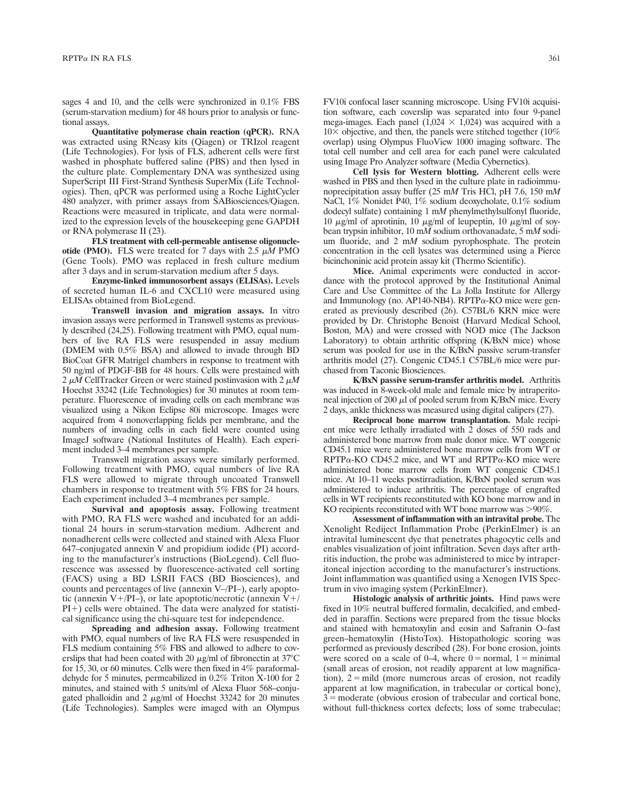sages 4 and 10, and the cells were synchronized in 0.1% FBS (serum-starvation medium) for 48 hours prior to analysis or functional assays.

Quantitative polymerase chain reaction (qPCR). RNA was extracted using RNeasy kits (Qiagen) or TRIzol reagent (Life Technologies). For lysis of FLS, adherent cells were first washed in phosphate buffered saline (PBS) and then lysed in the culture plate. Complementary DNA was synthesized using SuperScript III First-Strand Synthesis SuperMix (Life Technologies). Then, qPCR was performed using a Roche LightCycler 480 analyzer, with primer assays from SABiosciences/Qiagen. Reactions were measured in triplicate, and data were normalized to the expression levels of the housekeeping gene GAPDH or RNA polymerase II (23).

FLS treatment with cell-permeable antisense oligonucleotide (PMO). FLS were treated for 7 days with  $2.5 \mu M$  PMO (Gene Tools). PMO was replaced in fresh culture medium after 3 days and in serum-starvation medium after 5 days.

Enzyme-linked immunosorbent assays (ELISAs). Levels of secreted human IL-6 and CXCL10 were measured using ELISAs obtained from BioLegend.

Transwell invasion and migration assays. In vitro invasion assays were performed in Transwell systems as previously described (24,25). Following treatment with PMO, equal numbers of live RA FLS were resuspended in assay medium (DMEM with 0.5% BSA) and allowed to invade through BD BioCoat GFR Matrigel chambers in response to treatment with 50 ng/ml of PDGF-BB for 48 hours. Cells were prestained with 2  $\mu$ M CellTracker Green or were stained postinvasion with 2  $\mu$ M Hoechst 33242 (Life Technologies) for 30 minutes at room temperature. Fluorescence of invading cells on each membrane was visualized using a Nikon Eclipse 80i microscope. Images were acquired from 4 nonoverlapping fields per membrane, and the numbers of invading cells in each field were counted using ImageJ software (National Institutes of Health). Each experiment included 3–4 membranes per sample.

Transwell migration assays were similarly performed. Following treatment with PMO, equal numbers of live RA FLS were allowed to migrate through uncoated Transwell chambers in response to treatment with 5% FBS for 24 hours. Each experiment included 3–4 membranes per sample.

Survival and apoptosis assay. Following treatment with PMO, RA FLS were washed and incubated for an additional 24 hours in serum-starvation medium. Adherent and nonadherent cells were collected and stained with Alexa Fluor 647–conjugated annexin V and propidium iodide (PI) according to the manufacturer's instructions (BioLegend). Cell fluorescence was assessed by fluorescence-activated cell sorting (FACS) using a BD LSRII FACS (BD Biosciences), and counts and percentages of live (annexin V–/PI–), early apoptotic (annexin V+/PI–), or late apoptotic/necrotic (annexin  $V+$ /  $PI+$ ) cells were obtained. The data were analyzed for statistical significance using the chi-square test for independence.

Spreading and adhesion assay. Following treatment with PMO, equal numbers of live RA FLS were resuspended in FLS medium containing 5% FBS and allowed to adhere to coverslips that had been coated with 20  $\mu$ g/ml of fibronectin at 37°C for 15, 30, or 60 minutes. Cells were then fixed in 4% paraformaldehyde for 5 minutes, permeabilized in 0.2% Triton X-100 for 2 minutes, and stained with 5 units/ml of Alexa Fluor 568–conjugated phalloidin and  $2 \mu g/ml$  of Hoechst 33242 for 20 minutes (Life Technologies). Samples were imaged with an Olympus

FV10i confocal laser scanning microscope. Using FV10i acquisition software, each coverslip was separated into four 9-panel mega-images. Each panel (1,024  $\times$  1,024) was acquired with a  $10\times$  objective, and then, the panels were stitched together (10%) overlap) using Olympus FluoView 1000 imaging software. The total cell number and cell area for each panel were calculated using Image Pro Analyzer software (Media Cybernetics).

Cell lysis for Western blotting. Adherent cells were washed in PBS and then lysed in the culture plate in radioimmunoprecipitation assay buffer (25 mM Tris HCl, pH 7.6, 150 mM NaCl, 1% Nonidet P40, 1% sodium deoxycholate, 0.1% sodium dodecyl sulfate) containing 1 mM phenylmethylsulfonyl fluoride, 10  $\mu$ g/ml of aprotinin, 10  $\mu$ g/ml of leupeptin, 10  $\mu$ g/ml of soybean trypsin inhibitor, 10 mM sodium orthovanadate, 5 mM sodium fluoride, and 2 mM sodium pyrophosphate. The protein concentration in the cell lysates was determined using a Pierce bicinchoninic acid protein assay kit (Thermo Scientific).

Mice. Animal experiments were conducted in accordance with the protocol approved by the Institutional Animal Care and Use Committee of the La Jolla Institute for Allergy and Immunology (no. AP140-NB4). RPTP $\alpha$ -KO mice were generated as previously described (26). C57BL/6 KRN mice were provided by Dr. Christophe Benoist (Harvard Medical School, Boston, MA) and were crossed with NOD mice (The Jackson Laboratory) to obtain arthritic offspring (K/BxN mice) whose serum was pooled for use in the K/BxN passive serum-transfer arthritis model (27). Congenic CD45.1 C57BL/6 mice were purchased from Taconic Biosciences.

K/BxN passive serum-transfer arthritis model. Arthritis was induced in 8-week-old male and female mice by intraperitoneal injection of 200  $\mu$ l of pooled serum from K/BxN mice. Every 2 days, ankle thickness was measured using digital calipers (27).

Reciprocal bone marrow transplantation. Male recipient mice were lethally irradiated with 2 doses of 550 rads and administered bone marrow from male donor mice. WT congenic CD45.1 mice were administered bone marrow cells from WT or  $RPTP\alpha$ -KO CD45.2 mice, and WT and  $RPTP\alpha$ -KO mice were administered bone marrow cells from WT congenic CD45.1 mice. At 10–11 weeks postirradiation, K/BxN pooled serum was administered to induce arthritis. The percentage of engrafted cells in WT recipients reconstituted with KO bone marrow and in KO recipients reconstituted with WT bone marrow was  $>90\%$ .

Assessment of inflammation with an intravital probe. The Xenolight Rediject Inflammation Probe (PerkinElmer) is an intravital luminescent dye that penetrates phagocytic cells and enables visualization of joint infiltration. Seven days after arthritis induction, the probe was administered to mice by intraperitoneal injection according to the manufacturer's instructions. Joint inflammation was quantified using a Xenogen IVIS Spectrum in vivo imaging system (PerkinElmer).

Histologic analysis of arthritic joints. Hind paws were fixed in 10% neutral buffered formalin, decalcified, and embedded in paraffin. Sections were prepared from the tissue blocks and stained with hematoxylin and eosin and Safranin O–fast green–hematoxylin (HistoTox). Histopathologic scoring was performed as previously described (28). For bone erosion, joints were scored on a scale of 0–4, where  $0 =$  normal, 1 = minimal (small areas of erosion, not readily apparent at low magnification),  $2 = \text{mild}$  (more numerous areas of erosion, not readily apparent at low magnification, in trabecular or cortical bone),  $3 =$  moderate (obvious erosion of trabecular and cortical bone, without full-thickness cortex defects; loss of some trabeculae;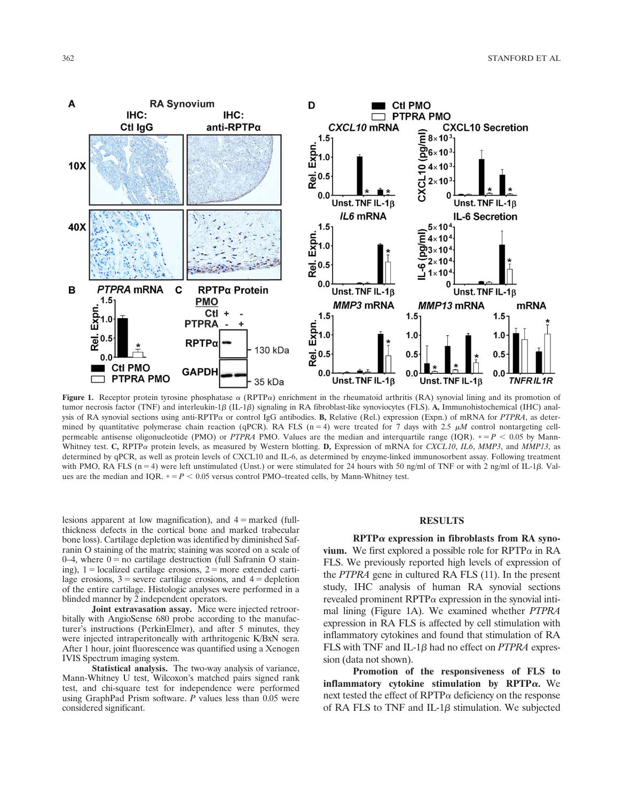

Figure 1. Receptor protein tyrosine phosphatase  $\alpha$  (RPTP $\alpha$ ) enrichment in the rheumatoid arthritis (RA) synovial lining and its promotion of tumor necrosis factor (TNF) and interleukin-1 $\beta$  (IL-1 $\beta$ ) signaling in RA fibroblast-like synoviocytes (FLS). A, Immunohistochemical (IHC) analysis of RA synovial sections using anti-RPTP $\alpha$  or control IgG antibodies. B, Relative (Rel.) expression (Expn.) of mRNA for PTPRA, as determined by quantitative polymerase chain reaction (qPCR). RA FLS (n = 4) were treated for 7 days with 2.5  $\mu$ M control nontargeting cellpermeable antisense oligonucleotide (PMO) or PTPRA PMO. Values are the median and interquartile range (IQR).  $* = P < 0.05$  by Mann-Whitney test. C, RPTP $\alpha$  protein levels, as measured by Western blotting. D, Expression of mRNA for CXCL10, IL6, MMP3, and MMP13, as determined by qPCR, as well as protein levels of CXCL10 and IL-6, as determined by enzyme-linked immunosorbent assay. Following treatment with PMO, RA FLS ( $n = 4$ ) were left unstimulated (Unst.) or were stimulated for 24 hours with 50 ng/ml of TNF or with 2 ng/ml of IL-1 $\beta$ . Values are the median and IQR.  $* = P < 0.05$  versus control PMO–treated cells, by Mann-Whitney test.

lesions apparent at low magnification), and  $4 =$  marked (fullthickness defects in the cortical bone and marked trabecular bone loss). Cartilage depletion was identified by diminished Safranin O staining of the matrix; staining was scored on a scale of 0–4, where  $0 = no$  cartilage destruction (full Safranin O staining),  $1 =$ localized cartilage erosions,  $2 =$ more extended cartilage erosions,  $3$  = severe cartilage erosions, and  $4$  = depletion of the entire cartilage. Histologic analyses were performed in a blinded manner by 2 independent operators.

Joint extravasation assay. Mice were injected retroorbitally with AngioSense 680 probe according to the manufacturer's instructions (PerkinElmer), and after 5 minutes, they were injected intraperitoneally with arthritogenic K/BxN sera. After 1 hour, joint fluorescence was quantified using a Xenogen IVIS Spectrum imaging system.

Statistical analysis. The two-way analysis of variance, Mann-Whitney U test, Wilcoxon's matched pairs signed rank test, and chi-square test for independence were performed using GraphPad Prism software. P values less than 0.05 were considered significant.

## RESULTS

 $RPTP\alpha$  expression in fibroblasts from RA synovium. We first explored a possible role for  $RPTP\alpha$  in RA FLS. We previously reported high levels of expression of the PTPRA gene in cultured RA FLS (11). In the present study, IHC analysis of human RA synovial sections revealed prominent  $RPTP\alpha$  expression in the synovial intimal lining (Figure 1A). We examined whether PTPRA expression in RA FLS is affected by cell stimulation with inflammatory cytokines and found that stimulation of RA FLS with TNF and IL-1 $\beta$  had no effect on *PTPRA* expression (data not shown).

Promotion of the responsiveness of FLS to inflammatory cytokine stimulation by RPTP $\alpha$ . We next tested the effect of RPTP $\alpha$  deficiency on the response of RA FLS to TNF and IL-1 $\beta$  stimulation. We subjected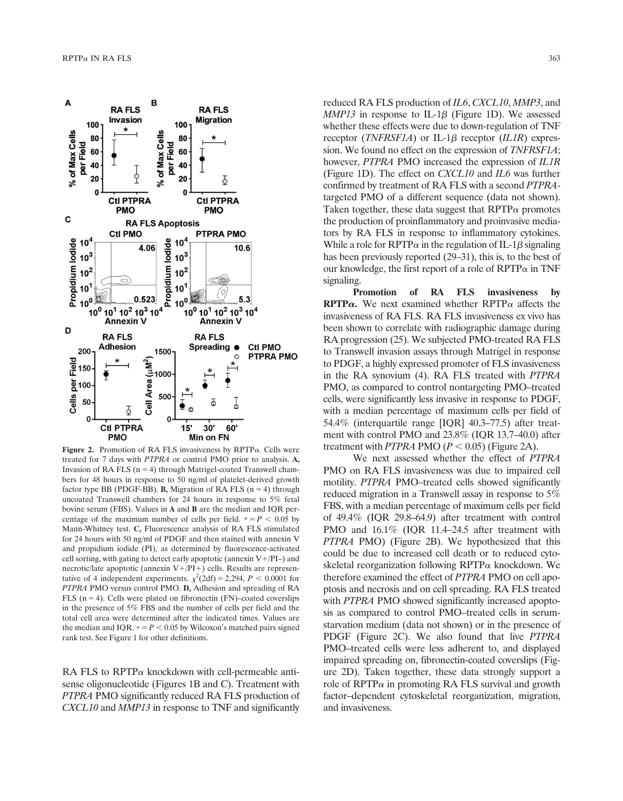

Figure 2. Promotion of RA FLS invasiveness by RPTP $\alpha$ . Cells were treated for 7 days with PTPRA or control PMO prior to analysis. A, Invasion of RA FLS  $(n = 4)$  through Matrigel-coated Transwell chambers for 48 hours in response to 50 ng/ml of platelet-derived growth factor type BB (PDGF-BB). **B**, Migration of RA FLS ( $n = 4$ ) through uncoated Transwell chambers for 24 hours in response to 5% fetal bovine serum (FBS). Values in A and B are the median and IQR percentage of the maximum number of cells per field.  $* = P < 0.05$  by Mann-Whitney test. C, Fluorescence analysis of RA FLS stimulated for 24 hours with 50 ng/ml of PDGF and then stained with annexin V and propidium iodide (PI), as determined by fluorescence-activated cell sorting, with gating to detect early apoptotic (annexin  $V+$ /PI–) and necrotic/late apoptotic (annexin  $V+ / PI+$ ) cells. Results are representative of 4 independent experiments.  $\chi^2(2df) = 2,294$ ,  $P < 0.0001$  for PTPRA PMO versus control PMO. D, Adhesion and spreading of RA FLS ( $n = 4$ ). Cells were plated on fibronectin (FN)–coated coverslips in the presence of 5% FBS and the number of cells per field and the total cell area were determined after the indicated times. Values are the median and IQR.  $* = P < 0.05$  by Wilcoxon's matched pairs signed rank test. See Figure 1 for other definitions.

RA FLS to RPTP $\alpha$  knockdown with cell-permeable antisense oligonucleotide (Figures 1B and C). Treatment with PTPRA PMO significantly reduced RA FLS production of CXCL10 and MMP13 in response to TNF and significantly

reduced RA FLS production of *IL6*, *CXCL10*, *MMP3*, and  $MMP13$  in response to IL-1 $\beta$  (Figure 1D). We assessed whether these effects were due to down-regulation of TNF receptor (*TNFRSF1A*) or IL-1 $\beta$  receptor (*IL1R*) expression. We found no effect on the expression of TNFRSF1A; however, PTPRA PMO increased the expression of IL1R (Figure 1D). The effect on  $CXCL10$  and  $IL6$  was further confirmed by treatment of RA FLS with a second PTPRAtargeted PMO of a different sequence (data not shown). Taken together, these data suggest that  $RPTP\alpha$  promotes the production of proinflammatory and proinvasive mediators by RA FLS in response to inflammatory cytokines. While a role for RPTP $\alpha$  in the regulation of IL-1 $\beta$  signaling has been previously reported (29–31), this is, to the best of our knowledge, the first report of a role of  $RPTP\alpha$  in TNF signaling.

Promotion of RA FLS invasiveness by **RPTP** $\alpha$ **.** We next examined whether RPTP $\alpha$  affects the invasiveness of RA FLS. RA FLS invasiveness ex vivo has been shown to correlate with radiographic damage during RA progression (25). We subjected PMO-treated RA FLS to Transwell invasion assays through Matrigel in response to PDGF, a highly expressed promoter of FLS invasiveness in the RA synovium (4). RA FLS treated with PTPRA PMO, as compared to control nontargeting PMO–treated cells, were significantly less invasive in response to PDGF, with a median percentage of maximum cells per field of 54.4% (interquartile range [IQR] 40.3–77.5) after treatment with control PMO and 23.8% (IQR 13.7–40.0) after treatment with PTPRA PMO ( $P < 0.05$ ) (Figure 2A).

We next assessed whether the effect of PTPRA PMO on RA FLS invasiveness was due to impaired cell motility. PTPRA PMO–treated cells showed significantly reduced migration in a Transwell assay in response to 5% FBS, with a median percentage of maximum cells per field of 49.4% (IQR 29.8–64.9) after treatment with control PMO and  $16.1\%$  (IQR 11.4–24.5 after treatment with PTPRA PMO) (Figure 2B). We hypothesized that this could be due to increased cell death or to reduced cytoskeletal reorganization following  $RPTP\alpha$  knockdown. We therefore examined the effect of PTPRA PMO on cell apoptosis and necrosis and on cell spreading. RA FLS treated with PTPRA PMO showed significantly increased apoptosis as compared to control PMO–treated cells in serumstarvation medium (data not shown) or in the presence of PDGF (Figure 2C). We also found that live PTPRA PMO–treated cells were less adherent to, and displayed impaired spreading on, fibronectin-coated coverslips (Figure 2D). Taken together, these data strongly support a role of RPTP $\alpha$  in promoting RA FLS survival and growth factor–dependent cytoskeletal reorganization, migration, and invasiveness.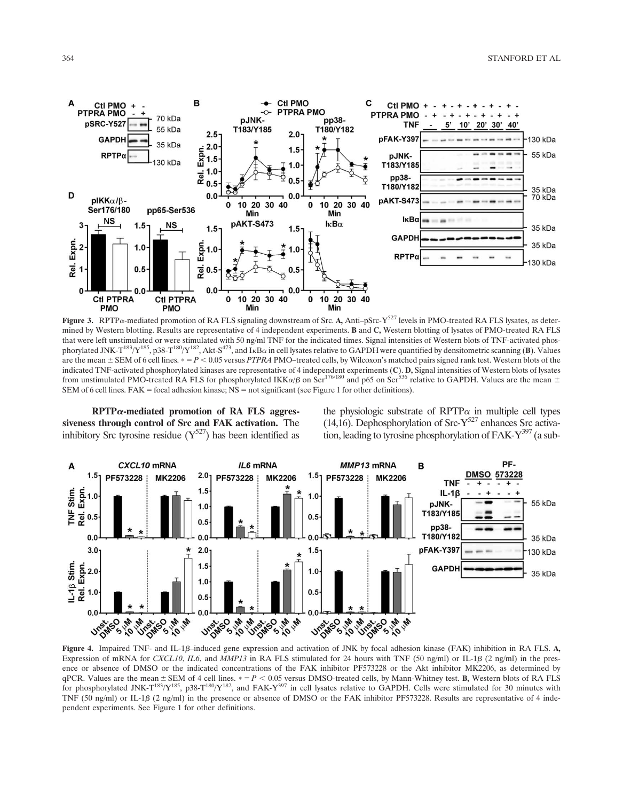364 STANFORD ET AL



Figure 3. RPTP $\alpha$ -mediated promotion of RA FLS signaling downstream of Src. A, Anti- $p$ Src-Y<sup>527</sup> levels in PMO-treated RA FLS lysates, as determined by Western blotting. Results are representative of 4 independent experiments. B and C, Western blotting of lysates of PMO-treated RA FLS that were left unstimulated or were stimulated with 50 ng/ml TNF for the indicated times. Signal intensities of Western blots of TNF-activated phosphorylated JNK-T<sup>183</sup>/Y<sup>185</sup>, p38-T<sup>180</sup>/Y<sup>182</sup>, Akt-S<sup>473</sup>, and I<sub>K</sub>B $\alpha$  in cell lysates relative to GAPDH were quantified by densitometric scanning (B). Values are the mean  $\pm$  SEM of 6 cell lines.  $* = P < 0.05$  versus PTPRA PMO–treated cells, by Wilcoxon's matched pairs signed rank test. Western blots of the indicated TNF-activated phosphorylated kinases are representative of 4 independent experiments (C). D, Signal intensities of Western blots of lysates from unstimulated PMO-treated RA FLS for phosphorylated IKK $\alpha/\beta$  on Ser<sup>176/180</sup> and p65 on Ser<sup>536</sup> relative to GAPDH. Values are the mean  $\pm$ SEM of 6 cell lines. FAK = focal adhesion kinase;  $NS =$  not significant (see Figure 1 for other definitions).

 $RPTP\alpha$ -mediated promotion of RA FLS aggressiveness through control of Src and FAK activation. The inhibitory Src tyrosine residue  $(Y^{527})$  has been identified as

the physiologic substrate of RPTP $\alpha$  in multiple cell types (14,16). Dephosphorylation of Src- $Y^{527}$  enhances Src activation, leading to tyrosine phosphorylation of  $FAK-Y^{397}$  (a sub-



Figure 4. Impaired TNF- and IL-1 $\beta$ -induced gene expression and activation of JNK by focal adhesion kinase (FAK) inhibition in RA FLS. A, Expression of mRNA for CXCL10, IL6, and MMP13 in RA FLS stimulated for 24 hours with TNF (50 ng/ml) or IL-1 $\beta$  (2 ng/ml) in the presence or absence of DMSO or the indicated concentrations of the FAK inhibitor PF573228 or the Akt inhibitor MK2206, as determined by qPCR. Values are the mean  $\pm$  SEM of 4 cell lines.  $\ast = P < 0.05$  versus DMSO-treated cells, by Mann-Whitney test. B, Western blots of RA FLS for phosphorylated JNK-T<sup>183</sup>/Y<sup>185</sup>, p38-T<sup>180</sup>/Y<sup>182</sup>, and FAK-Y<sup>397</sup> in cell lysates relative to GAPDH. Cells were stimulated for 30 minutes with TNF (50 ng/ml) or IL-1 $\beta$  (2 ng/ml) in the presence or absence of DMSO or the FAK inhibitor PF573228. Results are representative of 4 independent experiments. See Figure 1 for other definitions.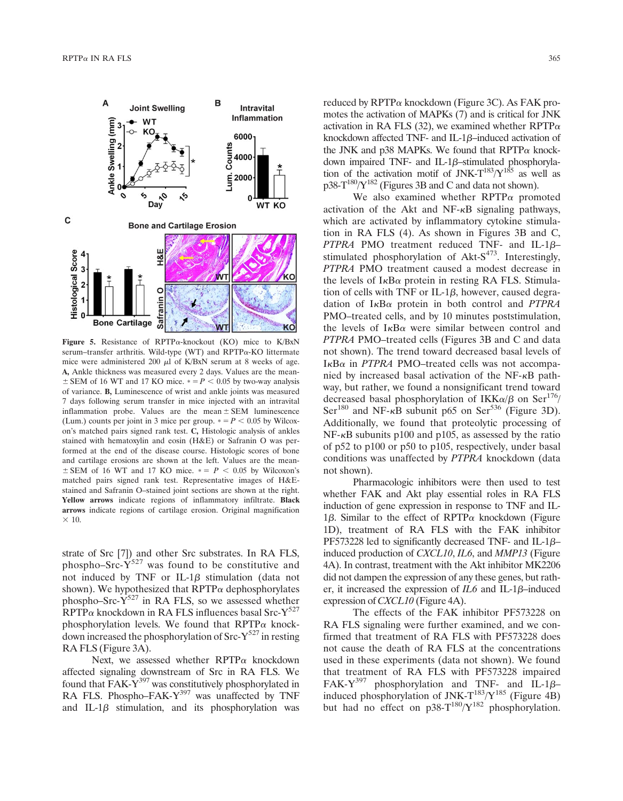

Figure 5. Resistance of RPTP $\alpha$ -knockout (KO) mice to K/BxN serum-transfer arthritis. Wild-type (WT) and  $RPTP\alpha$ -KO littermate mice were administered 200  $\mu$ l of K/BxN serum at 8 weeks of age. A, Ankle thickness was measured every 2 days. Values are the mean- $\pm$  SEM of 16 WT and 17 KO mice.  $\ast = P < 0.05$  by two-way analysis of variance. B, Luminescence of wrist and ankle joints was measured 7 days following serum transfer in mice injected with an intravital inflammation probe. Values are the mean  $\pm$  SEM luminescence (Lum.) counts per joint in 3 mice per group.  $* = P < 0.05$  by Wilcoxon's matched pairs signed rank test. C, Histologic analysis of ankles stained with hematoxylin and eosin (H&E) or Safranin O was performed at the end of the disease course. Histologic scores of bone and cartilage erosions are shown at the left. Values are the mean- $\pm$  SEM of 16 WT and 17 KO mice.  $\ast$  =  $P$  < 0.05 by Wilcoxon's matched pairs signed rank test. Representative images of H&Estained and Safranin O–stained joint sections are shown at the right. Yellow arrows indicate regions of inflammatory infiltrate. Black arrows indicate regions of cartilage erosion. Original magnification  $\times$  10.

strate of Src [7]) and other Src substrates. In RA FLS, phospho–Src- $Y^{527}$  was found to be constitutive and not induced by TNF or IL-1 $\beta$  stimulation (data not shown). We hypothesized that  $RPTP\alpha$  dephosphorylates phospho–Src- $Y^{527}$  in RA FLS, so we assessed whether  $RPTP\alpha$  knockdown in RA FLS influences basal Src-Y<sup>527</sup> phosphorylation levels. We found that  $RPTP\alpha$  knockdown increased the phosphorylation of  $\text{Src-}Y^{527}$  in resting RA FLS (Figure 3A).

Next, we assessed whether  $RPTP\alpha$  knockdown affected signaling downstream of Src in RA FLS. We found that  $FAK-Y^{397}$  was constitutively phosphorylated in RA FLS. Phospho–FAK-Y<sup>397</sup> was unaffected by TNF and IL-1 $\beta$  stimulation, and its phosphorylation was reduced by RPTP<sup>a</sup> knockdown (Figure 3C). As FAK promotes the activation of MAPKs (7) and is critical for JNK activation in RA FLS (32), we examined whether RPTP $\alpha$ knockdown affected TNF- and IL-1 $\beta$ –induced activation of the JNK and p38 MAPKs. We found that  $RPTP\alpha$  knockdown impaired TNF- and IL-1 $\beta$ -stimulated phosphorylation of the activation motif of JNK- $T^{183}/Y^{185}$  as well as  $p38-T^{180}/Y^{182}$  (Figures 3B and C and data not shown).

We also examined whether  $RPTP\alpha$  promoted activation of the Akt and  $NF-\kappa B$  signaling pathways, which are activated by inflammatory cytokine stimulation in RA FLS (4). As shown in Figures 3B and C, PTPRA PMO treatment reduced TNF- and IL-1 $\beta$ – stimulated phosphorylation of Akt- $S^{473}$ . Interestingly, PTPRA PMO treatment caused a modest decrease in the levels of  $I_{\kappa}B_{\alpha}$  protein in resting RA FLS. Stimulation of cells with TNF or IL-1 $\beta$ , however, caused degradation of  $I_{\kappa}B_{\alpha}$  protein in both control and *PTPRA* PMO–treated cells, and by 10 minutes poststimulation, the levels of  $I_{\kappa}B_{\alpha}$  were similar between control and PTPRA PMO–treated cells (Figures 3B and C and data not shown). The trend toward decreased basal levels of  $I_{\kappa}$ B $\alpha$  in *PTPRA* PMO–treated cells was not accompanied by increased basal activation of the  $NF-\kappa B$  pathway, but rather, we found a nonsignificant trend toward decreased basal phosphorylation of IKK $\alpha/\beta$  on Ser<sup>176</sup>/  $\text{Ser}^{180}$  and NF- $\kappa$ B subunit p65 on  $\text{Ser}^{536}$  (Figure 3D). Additionally, we found that proteolytic processing of NF- $\kappa$ B subunits p100 and p105, as assessed by the ratio of p52 to p100 or p50 to p105, respectively, under basal conditions was unaffected by PTPRA knockdown (data not shown).

Pharmacologic inhibitors were then used to test whether FAK and Akt play essential roles in RA FLS induction of gene expression in response to TNF and IL-1 $\beta$ . Similar to the effect of RPTP $\alpha$  knockdown (Figure 1D), treatment of RA FLS with the FAK inhibitor PF573228 led to significantly decreased TNF- and IL-1 $\beta$ – induced production of CXCL10, IL6, and MMP13 (Figure 4A). In contrast, treatment with the Akt inhibitor MK2206 did not dampen the expression of any these genes, but rather, it increased the expression of  $IL6$  and IL-1 $\beta$ –induced expression of *CXCL10* (Figure 4A).

The effects of the FAK inhibitor PF573228 on RA FLS signaling were further examined, and we confirmed that treatment of RA FLS with PF573228 does not cause the death of RA FLS at the concentrations used in these experiments (data not shown). We found that treatment of RA FLS with PF573228 impaired FAK-Y<sup>397</sup> phosphorylation and TNF- and IL-1 $\beta$ induced phosphorylation of JNK- $T^{183}/Y^{185}$  (Figure 4B) but had no effect on  $p38-T^{180}/Y^{182}$  phosphorylation.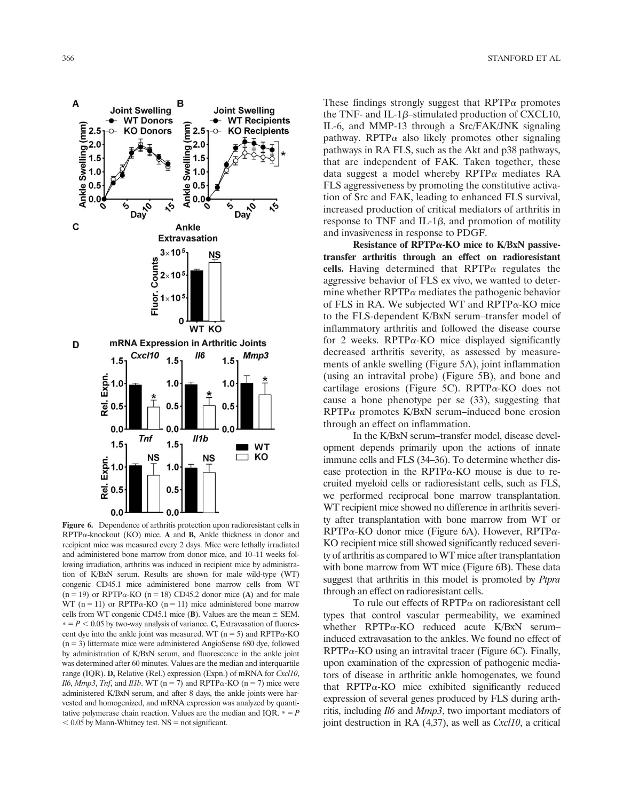A

**Joint Swelling Joint Swelling WT Donors WT Recipients** (mm)<br>Ankle Swelling (mm)<br>Ankle Swelling (mm)  $\mathsf{m}\mathsf{m}$ **KO Donors** ᡐ  $2.5$  $\circ$ **KO Recipients**  $= 2.0$ <br>  $= 1.5$ <br>  $= 1.0$ <br>  $= 0.5$ <br>  $= 0.0$  $2.0$  $Day$ ৻ঌ  $Day^{\circ}$ ৻ঌ C Ankle **Extravasation**  $3\times 10$ **NS**  $\frac{2^{3 \times 10^{3}}}{5^{2 \times 10^{3}}}$ <br> $\frac{5}{5}$  1×10  $\mathbf 0$ **WT KO** mRNA Expression in Arthritic Joints D Cxc110 **//6** Mmp3  $1.5$  $1.5$  $1.5$ Expri<br>
Rej 0.5  $1.0$  $1.0$  $0.5$  $0.5$  $0.0$  $0.0$  $0.0$ **Tnf**  $II1b$  $1.5$  $1.5$ **WT**  $\blacksquare$ ⊐ KO NS **NS** Expn.  $1.0$  $1.0$  $\vec{e}$  0.5  $0.5$ 

B

Figure 6. Dependence of arthritis protection upon radioresistant cells in  $RPTP\alpha$ -knockout (KO) mice. A and **B**, Ankle thickness in donor and recipient mice was measured every 2 days. Mice were lethally irradiated and administered bone marrow from donor mice, and 10–11 weeks following irradiation, arthritis was induced in recipient mice by administration of K/BxN serum. Results are shown for male wild-type (WT) congenic CD45.1 mice administered bone marrow cells from WT  $(n = 19)$  or RPTP $\alpha$ -KO  $(n = 18)$  CD45.2 donor mice (A) and for male WT (n = 11) or RPTP $\alpha$ -KO (n = 11) mice administered bone marrow cells from WT congenic CD45.1 mice (B). Values are the mean  $\pm$  SEM.  $* = P < 0.05$  by two-way analysis of variance. C, Extravasation of fluorescent dye into the ankle joint was measured. WT ( $n = 5$ ) and RPTP $\alpha$ -KO  $(n = 3)$  littermate mice were administered AngioSense 680 dye, followed by administration of K/BxN serum, and fluorescence in the ankle joint was determined after 60 minutes. Values are the median and interquartile range (IQR). D, Relative (Rel.) expression (Expn.) of mRNA for Cxcl10, Il6, Mmp3, Tnf, and Il1b. WT (n = 7) and RPTP $\alpha$ -KO (n = 7) mice were administered K/BxN serum, and after 8 days, the ankle joints were harvested and homogenized, and mRNA expression was analyzed by quantitative polymerase chain reaction. Values are the median and IQR.  $* = P$  $< 0.05$  by Mann-Whitney test. NS = not significant.

 $0.0$ 

 $0.0$ 

These findings strongly suggest that  $RPTP\alpha$  promotes the TNF- and IL-1 $\beta$ –stimulated production of CXCL10, IL-6, and MMP-13 through a Src/FAK/JNK signaling pathway. RPTP $\alpha$  also likely promotes other signaling pathways in RA FLS, such as the Akt and p38 pathways, that are independent of FAK. Taken together, these data suggest a model whereby  $RPTP\alpha$  mediates RA FLS aggressiveness by promoting the constitutive activation of Src and FAK, leading to enhanced FLS survival, increased production of critical mediators of arthritis in response to TNF and IL-1 $\beta$ , and promotion of motility and invasiveness in response to PDGF.

Resistance of RPTP $\alpha$ -KO mice to K/BxN passivetransfer arthritis through an effect on radioresistant cells. Having determined that  $RPTP\alpha$  regulates the aggressive behavior of FLS ex vivo, we wanted to determine whether  $RPTP\alpha$  mediates the pathogenic behavior of FLS in RA. We subjected WT and RPTP $\alpha$ -KO mice to the FLS-dependent K/BxN serum–transfer model of inflammatory arthritis and followed the disease course for 2 weeks. RPTP $\alpha$ -KO mice displayed significantly decreased arthritis severity, as assessed by measurements of ankle swelling (Figure 5A), joint inflammation (using an intravital probe) (Figure 5B), and bone and cartilage erosions (Figure 5C). RPTP $\alpha$ -KO does not cause a bone phenotype per se (33), suggesting that  $RPTP\alpha$  promotes K/BxN serum–induced bone erosion through an effect on inflammation.

In the K/BxN serum–transfer model, disease development depends primarily upon the actions of innate immune cells and FLS (34–36). To determine whether disease protection in the RPTP $\alpha$ -KO mouse is due to recruited myeloid cells or radioresistant cells, such as FLS, we performed reciprocal bone marrow transplantation. WT recipient mice showed no difference in arthritis severity after transplantation with bone marrow from WT or  $RPTP\alpha$ -KO donor mice (Figure 6A). However,  $RPTP\alpha$ -KO recipient mice still showed significantly reduced severity of arthritis as compared to WT mice after transplantation with bone marrow from WT mice (Figure 6B). These data suggest that arthritis in this model is promoted by Ptpra through an effect on radioresistant cells.

To rule out effects of  $RPTP\alpha$  on radioresistant cell types that control vascular permeability, we examined whether  $RPTP\alpha$ -KO reduced acute K/BxN serum– induced extravasation to the ankles. We found no effect of  $RPTP\alpha$ -KO using an intravital tracer (Figure 6C). Finally, upon examination of the expression of pathogenic mediators of disease in arthritic ankle homogenates, we found that  $RPTP\alpha$ -KO mice exhibited significantly reduced expression of several genes produced by FLS during arthritis, including Il6 and Mmp3, two important mediators of joint destruction in RA  $(4,37)$ , as well as *Cxcl10*, a critical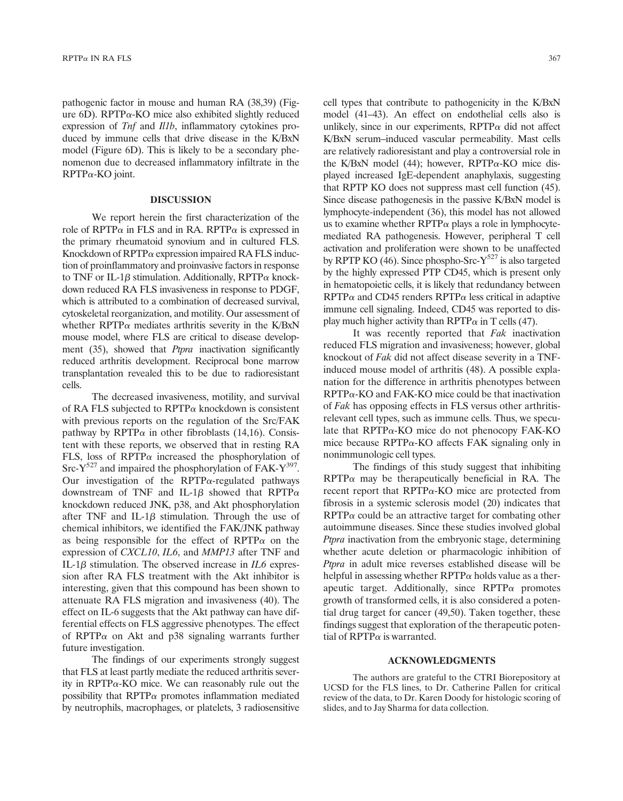pathogenic factor in mouse and human RA (38,39) (Figure  $6D$ ). RPTP $\alpha$ -KO mice also exhibited slightly reduced expression of Tnf and Il1b, inflammatory cytokines produced by immune cells that drive disease in the K/BxN model (Figure 6D). This is likely to be a secondary phenomenon due to decreased inflammatory infiltrate in the RPTPa-KO joint.

#### DISCUSSION

We report herein the first characterization of the role of RPTP $\alpha$  in FLS and in RA. RPTP $\alpha$  is expressed in the primary rheumatoid synovium and in cultured FLS. Knockdown of  $RPTP\alpha$  expression impaired RA FLS induction of proinflammatory and proinvasive factors in response to TNF or IL-1 $\beta$  stimulation. Additionally, RPTP $\alpha$  knockdown reduced RA FLS invasiveness in response to PDGF, which is attributed to a combination of decreased survival, cytoskeletal reorganization, and motility. Our assessment of whether RPTP $\alpha$  mediates arthritis severity in the K/BxN mouse model, where FLS are critical to disease development (35), showed that *Ptpra* inactivation significantly reduced arthritis development. Reciprocal bone marrow transplantation revealed this to be due to radioresistant cells.

The decreased invasiveness, motility, and survival of RA FLS subjected to  $RPTP\alpha$  knockdown is consistent with previous reports on the regulation of the Src/FAK pathway by RPTP $\alpha$  in other fibroblasts (14,16). Consistent with these reports, we observed that in resting RA FLS, loss of RPTP $\alpha$  increased the phosphorylation of Src- $Y^{527}$  and impaired the phosphorylation of FAK- $Y^{397}$ . Our investigation of the RPTP $\alpha$ -regulated pathways downstream of TNF and IL-1 $\beta$  showed that RPTP $\alpha$ knockdown reduced JNK, p38, and Akt phosphorylation after TNF and IL-1 $\beta$  stimulation. Through the use of chemical inhibitors, we identified the FAK/JNK pathway as being responsible for the effect of  $RPTP\alpha$  on the expression of CXCL10, IL6, and MMP13 after TNF and IL-1 $\beta$  stimulation. The observed increase in IL6 expression after RA FLS treatment with the Akt inhibitor is interesting, given that this compound has been shown to attenuate RA FLS migration and invasiveness (40). The effect on IL-6 suggests that the Akt pathway can have differential effects on FLS aggressive phenotypes. The effect of RPTP $\alpha$  on Akt and p38 signaling warrants further future investigation.

The findings of our experiments strongly suggest that FLS at least partly mediate the reduced arthritis severity in RPTP $\alpha$ -KO mice. We can reasonably rule out the possibility that RPTP $\alpha$  promotes inflammation mediated by neutrophils, macrophages, or platelets, 3 radiosensitive

cell types that contribute to pathogenicity in the K/BxN model (41–43). An effect on endothelial cells also is unlikely, since in our experiments,  $RPTP\alpha$  did not affect K/BxN serum–induced vascular permeability. Mast cells are relatively radioresistant and play a controversial role in the K/BxN model (44); however,  $RPTP\alpha$ -KO mice displayed increased IgE-dependent anaphylaxis, suggesting that RPTP KO does not suppress mast cell function (45). Since disease pathogenesis in the passive K/BxN model is lymphocyte-independent (36), this model has not allowed us to examine whether  $RPTP\alpha$  plays a role in lymphocytemediated RA pathogenesis. However, peripheral T cell activation and proliferation were shown to be unaffected by RPTP KO  $(46)$ . Since phospho-Src-Y<sup>527</sup> is also targeted by the highly expressed PTP CD45, which is present only in hematopoietic cells, it is likely that redundancy between  $RPTP\alpha$  and CD45 renders  $RPTP\alpha$  less critical in adaptive immune cell signaling. Indeed, CD45 was reported to display much higher activity than  $RPTP\alpha$  in T cells (47).

It was recently reported that Fak inactivation reduced FLS migration and invasiveness; however, global knockout of Fak did not affect disease severity in a TNFinduced mouse model of arthritis (48). A possible explanation for the difference in arthritis phenotypes between  $RPTP\alpha$ -KO and FAK-KO mice could be that inactivation of Fak has opposing effects in FLS versus other arthritisrelevant cell types, such as immune cells. Thus, we speculate that  $RPTP\alpha$ -KO mice do not phenocopy FAK-KO mice because  $RPTP\alpha$ -KO affects FAK signaling only in nonimmunologic cell types.

The findings of this study suggest that inhibiting  $RPTP\alpha$  may be therapeutically beneficial in RA. The recent report that  $RPTP\alpha$ -KO mice are protected from fibrosis in a systemic sclerosis model (20) indicates that  $RPTP\alpha$  could be an attractive target for combating other autoimmune diseases. Since these studies involved global Ptpra inactivation from the embryonic stage, determining whether acute deletion or pharmacologic inhibition of Ptpra in adult mice reverses established disease will be helpful in assessing whether  $RPTP\alpha$  holds value as a therapeutic target. Additionally, since  $RPTP\alpha$  promotes growth of transformed cells, it is also considered a potential drug target for cancer (49,50). Taken together, these findings suggest that exploration of the therapeutic potential of RPTP $\alpha$  is warranted.

### ACKNOWLEDGMENTS

The authors are grateful to the CTRI Biorepository at UCSD for the FLS lines, to Dr. Catherine Pallen for critical review of the data, to Dr. Karen Doody for histologic scoring of slides, and to Jay Sharma for data collection.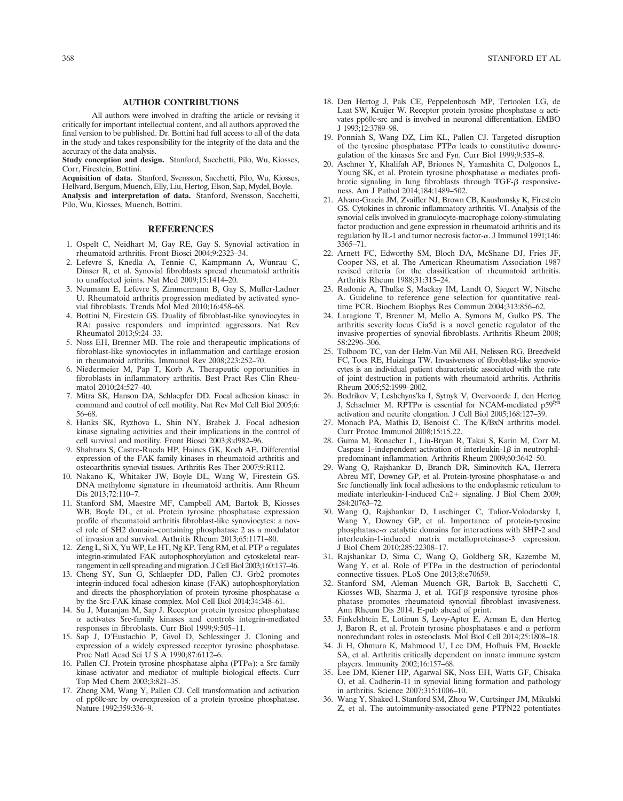#### AUTHOR CONTRIBUTIONS

All authors were involved in drafting the article or revising it critically for important intellectual content, and all authors approved the final version to be published. Dr. Bottini had full access to all of the data in the study and takes responsibility for the integrity of the data and the accuracy of the data analysis.

Study conception and design. Stanford, Sacchetti, Pilo, Wu, Kiosses, Corr, Firestein, Bottini.

Acquisition of data. Stanford, Svensson, Sacchetti, Pilo, Wu, Kiosses, Hellvard, Bergum, Muench, Elly, Liu, Hertog, Elson, Sap, Mydel, Boyle. Analysis and interpretation of data. Stanford, Svensson, Sacchetti,

Pilo, Wu, Kiosses, Muench, Bottini.

#### REFERENCES

- 1. Ospelt C, Neidhart M, Gay RE, Gay S. Synovial activation in rheumatoid arthritis. Front Biosci 2004;9:2323–34.
- 2. Lefevre S, Knedla A, Tennie C, Kampmann A, Wunrau C, Dinser R, et al. Synovial fibroblasts spread rheumatoid arthritis to unaffected joints. Nat Med 2009;15:1414–20.
- 3. Neumann E, Lefevre S, Zimmermann B, Gay S, Muller-Ladner U. Rheumatoid arthritis progression mediated by activated synovial fibroblasts. Trends Mol Med 2010;16:458–68.
- 4. Bottini N, Firestein GS. Duality of fibroblast-like synoviocytes in RA: passive responders and imprinted aggressors. Nat Rev Rheumatol 2013;9:24–33.
- 5. Noss EH, Brenner MB. The role and therapeutic implications of fibroblast-like synoviocytes in inflammation and cartilage erosion in rheumatoid arthritis. Immunol Rev 2008;223:252–70.
- 6. Niedermeier M, Pap T, Korb A. Therapeutic opportunities in fibroblasts in inflammatory arthritis. Best Pract Res Clin Rheumatol 2010;24:527–40.
- 7. Mitra SK, Hanson DA, Schlaepfer DD. Focal adhesion kinase: in command and control of cell motility. Nat Rev Mol Cell Biol 2005;6: 56–68.
- 8. Hanks SK, Ryzhova L, Shin NY, Brabek J. Focal adhesion kinase signaling activities and their implications in the control of cell survival and motility. Front Biosci 2003;8:d982–96.
- 9. Shahrara S, Castro-Rueda HP, Haines GK, Koch AE. Differential expression of the FAK family kinases in rheumatoid arthritis and osteoarthritis synovial tissues. Arthritis Res Ther 2007;9:R112.
- 10. Nakano K, Whitaker JW, Boyle DL, Wang W, Firestein GS. DNA methylome signature in rheumatoid arthritis. Ann Rheum Dis 2013;72:110–7.
- 11. Stanford SM, Maestre MF, Campbell AM, Bartok B, Kiosses WB, Boyle DL, et al. Protein tyrosine phosphatase expression profile of rheumatoid arthritis fibroblast-like synoviocytes: a novel role of SH2 domain–containing phosphatase 2 as a modulator of invasion and survival. Arthritis Rheum 2013;65:1171–80.
- 12. Zeng L, Si X, Yu WP, Le HT, Ng KP, Teng RM, et al. PTP  $\alpha$  regulates integrin-stimulated FAK autophosphorylation and cytoskeletal rearrangement in cell spreading and migration. J Cell Biol 2003;160:137–46.
- 13. Cheng SY, Sun G, Schlaepfer DD, Pallen CJ. Grb2 promotes integrin-induced focal adhesion kinase (FAK) autophosphorylation and directs the phosphorylation of protein tyrosine phosphatase  $\alpha$ by the Src-FAK kinase complex. Mol Cell Biol 2014;34:348–61.
- 14. Su J, Muranjan M, Sap J. Receptor protein tyrosine phosphatase  $\alpha$  activates Src-family kinases and controls integrin-mediated responses in fibroblasts. Curr Biol 1999;9:505–11.
- 15. Sap J, D'Eustachio P, Givol D, Schlessinger J. Cloning and expression of a widely expressed receptor tyrosine phosphatase. Proc Natl Acad Sci U S A 1990;87:6112–6.
- 16. Pallen CJ. Protein tyrosine phosphatase alpha ( $PTP\alpha$ ): a Src family kinase activator and mediator of multiple biological effects. Curr Top Med Chem 2003;3:821–35.
- 17. Zheng XM, Wang Y, Pallen CJ. Cell transformation and activation of pp60c-src by overexpression of a protein tyrosine phosphatase. Nature 1992;359:336–9.
- 18. Den Hertog J, Pals CE, Peppelenbosch MP, Tertoolen LG, de Laat SW, Kruijer W. Receptor protein tyrosine phosphatase  $\alpha$  activates pp60c-src and is involved in neuronal differentiation. EMBO J 1993;12:3789–98.
- 19. Ponniah S, Wang DZ, Lim KL, Pallen CJ. Targeted disruption of the tyrosine phosphatase  $PTP\alpha$  leads to constitutive downregulation of the kinases Src and Fyn. Curr Biol 1999;9:535–8.
- 20. Aschner Y, Khalifah AP, Briones N, Yamashita C, Dolgonos L, Young SK, et al. Protein tyrosine phosphatase  $\alpha$  mediates profibrotic signaling in lung fibroblasts through TGF- $\beta$  responsiveness. Am J Pathol 2014;184:1489–502.
- 21. Alvaro-Gracia JM, Zvaifler NJ, Brown CB, Kaushansky K, Firestein GS. Cytokines in chronic inflammatory arthritis. VI. Analysis of the synovial cells involved in granulocyte-macrophage colony-stimulating factor production and gene expression in rheumatoid arthritis and its regulation by IL-1 and tumor necrosis factor- $\alpha$ . J Immunol 1991;146: 3365–71.
- 22. Arnett FC, Edworthy SM, Bloch DA, McShane DJ, Fries JF, Cooper NS, et al. The American Rheumatism Association 1987 revised criteria for the classification of rheumatoid arthritis. Arthritis Rheum 1988;31:315–24.
- 23. Radonic A, Thulke S, Mackay IM, Landt O, Siegert W, Nitsche A. Guideline to reference gene selection for quantitative realtime PCR. Biochem Biophys Res Commun 2004;313:856–62.
- 24. Laragione T, Brenner M, Mello A, Symons M, Gulko PS. The arthritis severity locus Cia5d is a novel genetic regulator of the invasive properties of synovial fibroblasts. Arthritis Rheum 2008; 58:2296–306.
- 25. Tolboom TC, van der Helm-Van Mil AH, Nelissen RG, Breedveld FC, Toes RE, Huizinga TW. Invasiveness of fibroblast-like synoviocytes is an individual patient characteristic associated with the rate of joint destruction in patients with rheumatoid arthritis. Arthritis Rheum 2005;52:1999–2002.
- 26. Bodrikov V, Leshchyns'ka I, Sytnyk V, Overvoorde J, den Hertog J, Schachner M. RPTP $\alpha$  is essential for NCAM-mediated p59<sup>fyn</sup> activation and neurite elongation. J Cell Biol 2005;168:127–39.
- 27. Monach PA, Mathis D, Benoist C. The K/BxN arthritis model. Curr Protoc Immunol 2008;15:15.22.
- 28. Guma M, Ronacher L, Liu-Bryan R, Takai S, Karin M, Corr M. Caspase 1–independent activation of interleukin-1 $\beta$  in neutrophilpredominant inflammation. Arthritis Rheum 2009;60:3642–50.
- 29. Wang Q, Rajshankar D, Branch DR, Siminovitch KA, Herrera Abreu MT, Downey GP, et al. Protein-tyrosine phosphatase- $\alpha$  and Src functionally link focal adhesions to the endoplasmic reticulum to mediate interleukin-1-induced Ca2+ signaling. J Biol Chem 2009; 284:20763–72.
- 30. Wang Q, Rajshankar D, Laschinger C, Talior-Volodarsky I, Wang Y, Downey GP, et al. Importance of protein-tyrosine phosphatase- $\alpha$  catalytic domains for interactions with SHP-2 and interleukin-1-induced matrix metalloproteinase-3 expression. J Biol Chem 2010;285:22308–17.
- 31. Rajshankar D, Sima C, Wang Q, Goldberg SR, Kazembe M, Wang Y, et al. Role of PTP $\alpha$  in the destruction of periodontal connective tissues. PLoS One 2013;8:e70659.
- 32. Stanford SM, Aleman Muench GR, Bartok B, Sacchetti C, Kiosses WB, Sharma J, et al. TGF $\beta$  responsive tyrosine phosphatase promotes rheumatoid synovial fibroblast invasiveness. Ann Rheum Dis 2014. E-pub ahead of print.
- 33. Finkelshtein E, Lotinun S, Levy-Apter E, Arman E, den Hertog J, Baron R, et al. Protein tyrosine phosphatases  $\epsilon$  and  $\alpha$  perform nonredundant roles in osteoclasts. Mol Biol Cell 2014;25:1808–18.
- 34. Ji H, Ohmura K, Mahmood U, Lee DM, Hofhuis FM, Boackle SA, et al. Arthritis critically dependent on innate immune system players. Immunity 2002;16:157–68.
- 35. Lee DM, Kiener HP, Agarwal SK, Noss EH, Watts GF, Chisaka O, et al. Cadherin-11 in synovial lining formation and pathology in arthritis. Science 2007;315:1006–10.
- 36. Wang Y, Shaked I, Stanford SM, Zhou W, Curtsinger JM, Mikulski Z, et al. The autoimmunity-associated gene PTPN22 potentiates